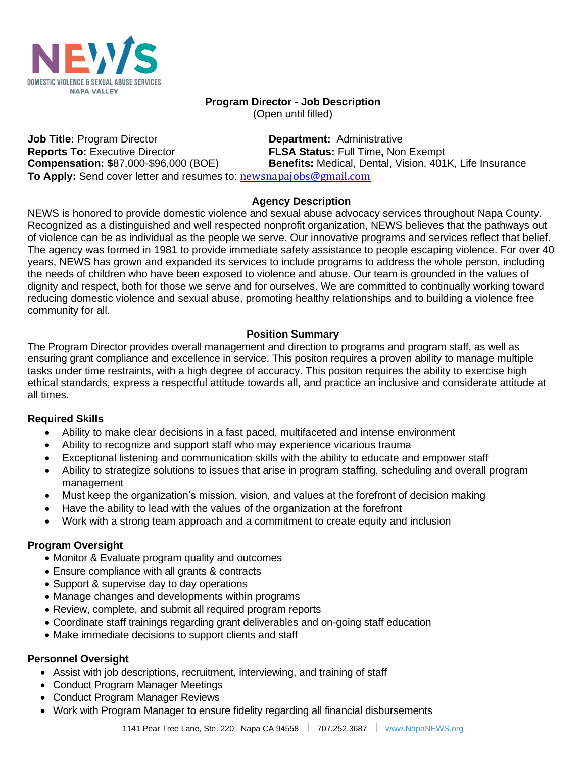

# **Program Director - Job Description**

(Open until filled)

**Job Title:** Program Director **Department:** Administrative **Reports To:** Executive Director **FLSA Status:** Full Time**,** Non Exempt **Compensation: \$**87,000-\$96,000 (BOE) **Benefits:** Medical, Dental, Vision, 401K, Life Insurance To Apply: Send cover letter and resumes to: **[newsnapajobs@gmail.com](mailto:newsnapajobs@gmail.com)** 

### **Agency Description**

NEWS is honored to provide domestic violence and sexual abuse advocacy services throughout Napa County. Recognized as a distinguished and well respected nonprofit organization, NEWS believes that the pathways out of violence can be as individual as the people we serve. Our innovative programs and services reflect that belief. The agency was formed in 1981 to provide immediate safety assistance to people escaping violence. For over 40 years, NEWS has grown and expanded its services to include programs to address the whole person, including the needs of children who have been exposed to violence and abuse. Our team is grounded in the values of dignity and respect, both for those we serve and for ourselves. We are committed to continually working toward reducing domestic violence and sexual abuse, promoting healthy relationships and to building a violence free community for all.

# **Position Summary**

The Program Director provides overall management and direction to programs and program staff, as well as ensuring grant compliance and excellence in service. This positon requires a proven ability to manage multiple tasks under time restraints, with a high degree of accuracy. This positon requires the ability to exercise high ethical standards, express a respectful attitude towards all, and practice an inclusive and considerate attitude at all times.

## **Required Skills**

- Ability to make clear decisions in a fast paced, multifaceted and intense environment
- Ability to recognize and support staff who may experience vicarious trauma
- Exceptional listening and communication skills with the ability to educate and empower staff
- Ability to strategize solutions to issues that arise in program staffing, scheduling and overall program management
- Must keep the organization's mission, vision, and values at the forefront of decision making
- Have the ability to lead with the values of the organization at the forefront
- Work with a strong team approach and a commitment to create equity and inclusion

## **Program Oversight**

- Monitor & Evaluate program quality and outcomes
- Ensure compliance with all grants & contracts
- Support & supervise day to day operations
- Manage changes and developments within programs
- Review, complete, and submit all required program reports
- Coordinate staff trainings regarding grant deliverables and on-going staff education
- Make immediate decisions to support clients and staff

## **Personnel Oversight**

- Assist with job descriptions, recruitment, interviewing, and training of staff
- Conduct Program Manager Meetings
- Conduct Program Manager Reviews
- Work with Program Manager to ensure fidelity regarding all financial disbursements